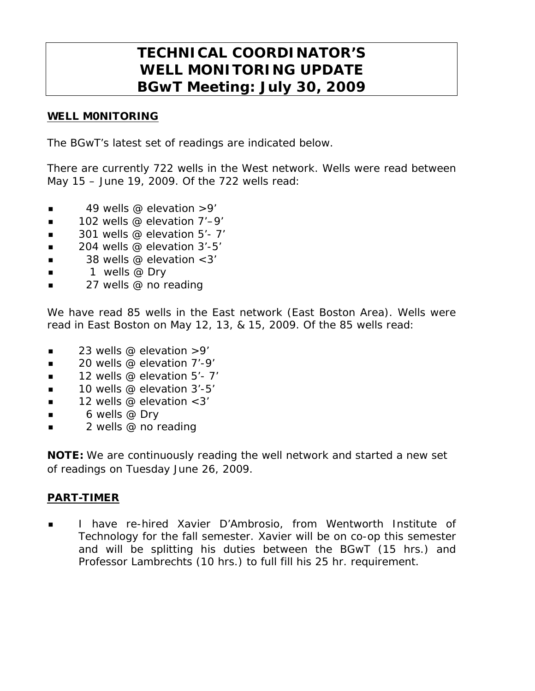# **TECHNICAL COORDINATOR'S WELL MONITORING UPDATE BGwT Meeting: July 30, 2009**

### WELL M0NITORING

The BGwT's latest set of readings are indicated below.

There are currently 722 wells in the West network. Wells were read between May 15 – June 19, 2009. Of the 722 wells read:

- $\blacksquare$  49 wells @ elevation > 9'
- $\blacksquare$  102 wells @ elevation 7'–9'
- $\blacksquare$  301 wells @ elevation 5'-7'
- $\blacksquare$  204 wells @ elevation 3'-5'
- $\blacksquare$  38 wells @ elevation < 3'
- 1 wells @ Dry
- **27** wells @ no reading

We have read 85 wells in the East network (East Boston Area). Wells were read in East Boston on May 12, 13, & 15, 2009. Of the 85 wells read:

- $\blacksquare$  23 wells @ elevation  $>9'$
- $\blacksquare$  20 wells @ elevation 7'-9'
- $\blacksquare$  12 wells @ elevation 5'- 7'
- 10 wells @ elevation 3'-5'
- $\blacksquare$  12 wells @ elevation <3'
- $\bullet$  6 wells @ Dry
- **2** wells @ no reading

**NOTE:** We are continuously reading the well network and started a new set of readings on Tuesday June 26, 2009.

#### PART-TIMER

 I have re-hired Xavier D'Ambrosio, from Wentworth Institute of Technology for the fall semester. Xavier will be on co-op this semester and will be splitting his duties between the BGwT (15 hrs.) and Professor Lambrechts (10 hrs.) to full fill his 25 hr. requirement.